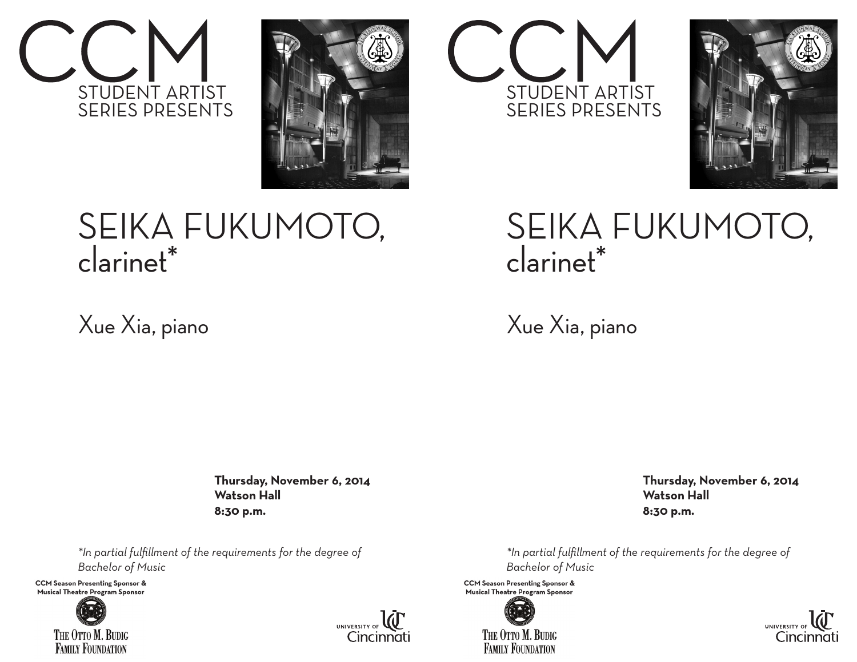



## SEIKA FUKUMOTO, clarinet\*

## Xue Xia, piano

 **Thursday, November 6, 2014 Watson Hall 8:30 p.m.**

*\*In partial fulfillment of the requirements for the degree of Bachelor of Music* 

**CCM Season Presenting Sponsor &** Musical Theatre Program Sponsor